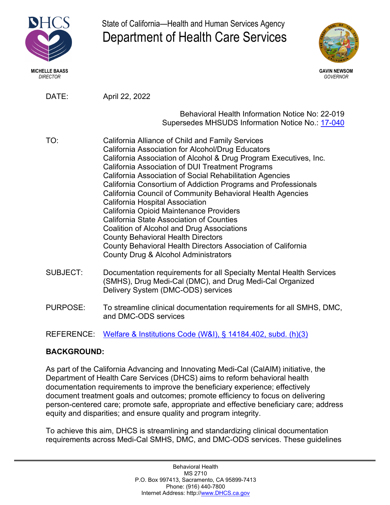

State of California—Health and Human Services Agency Department of Health Care Services



*DIRECTOR GOVERNOR*

DATE: April 22, 2022

Behavioral Health Information Notice No: 22-019 Supersedes MHSUDS Information Notice No.: [17-040](https://www.dhcs.ca.gov/services/MH/Documents/Information%20Notices/IN_17-040_MHSUDS_Chart_Documentation_Information_Notice.pdf)

- TO: California Alliance of Child and Family Services California Association for Alcohol/Drug Educators California Association of Alcohol & Drug Program Executives, Inc. California Association of DUI Treatment Programs California Association of Social Rehabilitation Agencies California Consortium of Addiction Programs and Professionals California Council of Community Behavioral Health Agencies California Hospital Association California Opioid Maintenance Providers California State Association of Counties Coalition of Alcohol and Drug Associations County Behavioral Health Directors County Behavioral Health Directors Association of California County Drug & Alcohol Administrators
- SUBJECT: Documentation requirements for all Specialty Mental Health Services (SMHS), Drug Medi-Cal (DMC), and Drug Medi-Cal Organized Delivery System (DMC-ODS) services
- PURPOSE: To streamline clinical documentation requirements for all SMHS, DMC, and DMC-ODS services

REFERENCE: Welfare & Institutions [Code \(W&I\), § 14184.402, subd. \(h\)\(3\)](https://casetext.com/statute/california-codes/california-welfare-and-institutions-code/division-9-public-social-services/part-3-aid-and-medical-assistance/chapter-7-basic-health-care/article-551-california-advancing-and-innovating-medi-cal-act/section-14184402-medically-necessary-determinations-for-covered-specialty-mental-health-services-and-substance-use-disorder-services-nonspecialty-mental-health-services-coverage)

# **BACKGROUND:**

As part of the California Advancing and Innovating Medi-Cal (CalAIM) initiative, the Department of Health Care Services (DHCS) aims to reform behavioral health documentation requirements to improve the beneficiary experience; effectively document treatment goals and outcomes; promote efficiency to focus on delivering person-centered care; promote safe, appropriate and effective beneficiary care; address equity and disparities; and ensure quality and program integrity.

To achieve this aim, DHCS is streamlining and standardizing clinical documentation requirements across Medi-Cal SMHS, DMC, and DMC-ODS services. These guidelines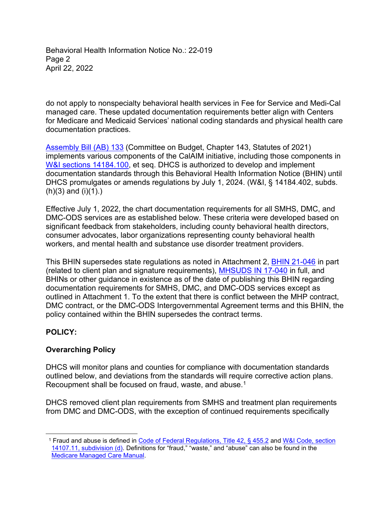Behavioral Health Information Notice No.: 22-019 Page 2 April 22, 2022

do not apply to nonspecialty behavioral health services in Fee for Service and Medi-Cal managed care. These updated documentation requirements better align with Centers for Medicare and Medicaid Services' national coding standards and physical health care documentation practices.

[Assembly Bill \(AB\) 133](https://leginfo.legislature.ca.gov/faces/billNavClient.xhtml?bill_id=202120220AB133) (Committee on Budget, Chapter 143, Statutes of 2021) implements various components of the CalAIM initiative, including those components in [W&I sections 14184.100](https://casetext.com/statute/california-codes/california-welfare-and-institutions-code/division-9-public-social-services/part-3-aid-and-medical-assistance/chapter-7-basic-health-care/article-551-california-advancing-and-innovating-medi-cal-act/section-14184100-title), et seq. DHCS is authorized to develop and implement documentation standards through this Behavioral Health Information Notice (BHIN) until DHCS promulgates or amends regulations by July 1, 2024. (W&I, § 14184.402, subds.  $(h)(3)$  and  $(i)(1)$ .)

Effective July 1, 2022, the chart documentation requirements for all SMHS, DMC, and DMC-ODS services are as established below. These criteria were developed based on significant feedback from stakeholders, including county behavioral health directors, consumer advocates, labor organizations representing county behavioral health workers, and mental health and substance use disorder treatment providers.

This BHIN supersedes state regulations as noted in Attachment 2, [BHIN 21-046](https://www.dhcs.ca.gov/Documents/COVID-19/BHIN-21-046.pdf) in part (related to client plan and signature requirements), MHSUDS [IN 17-040](https://www.dhcs.ca.gov/services/MH/Documents/Information%20Notices/IN_17-040_MHSUDS_Chart_Documentation_Information_Notice.pdf) in full, and BHINs or other guidance in existence as of the date of publishing this BHIN regarding documentation requirements for SMHS, DMC, and DMC-ODS services except as outlined in Attachment 1. To the extent that there is conflict between the MHP contract, DMC contract, or the DMC-ODS Intergovernmental Agreement terms and this BHIN, the policy contained within the BHIN supersedes the contract terms.

# **POLICY:**

# **Overarching Policy**

DHCS will monitor plans and counties for compliance with documentation standards outlined below, and deviations from the standards will require corrective action plans. Recoupment shall be focused on fraud, waste, and abuse.<sup>1</sup>

DHCS removed client plan requirements from SMHS and treatment plan requirements from DMC and DMC-ODS, with the exception of continued requirements specifically

<sup>1</sup> Fraud and abuse is defined in [Code of Federal Regulations, Title 42,](https://www.law.cornell.edu/cfr/text/42/455.2) § 455.2 and [W&I Code, section](https://codes.findlaw.com/ca/welfare-and-institutions-code/wic-sect-14107-11.html#:%7E:text=(d)%20An%20allegation%20of%20fraud,seizure%20of%20comparable%20business%20assets.)  [14107.11, subdivision \(d\).](https://codes.findlaw.com/ca/welfare-and-institutions-code/wic-sect-14107-11.html#:%7E:text=(d)%20An%20allegation%20of%20fraud,seizure%20of%20comparable%20business%20assets.) Definitions for "fraud," "waste," and "abuse" can also be found in the [Medicare Managed Care Manual.](https://www.cms.gov/Regulations-and-Guidance/Guidance/Manuals/Downloads/mc86c21.pdf)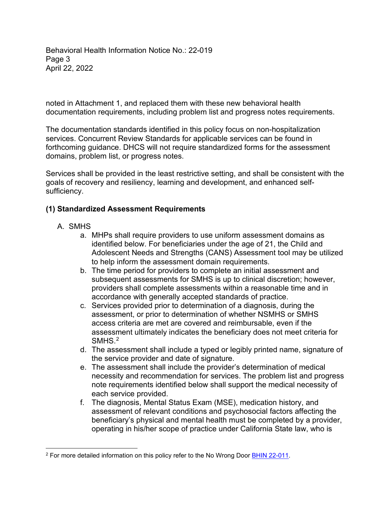Behavioral Health Information Notice No.: 22-019 Page 3 April 22, 2022

noted in Attachment 1, and replaced them with these new behavioral health documentation requirements, including problem list and progress notes requirements.

The documentation standards identified in this policy focus on non-hospitalization services. Concurrent Review Standards for applicable services can be found in forthcoming guidance. DHCS will not require standardized forms for the assessment domains, problem list, or progress notes.

Services shall be provided in the least restrictive setting, and shall be consistent with the goals of recovery and resiliency, learning and development, and enhanced selfsufficiency.

#### **(1) Standardized Assessment Requirements**

- A. SMHS
	- a. MHPs shall require providers to use uniform assessment domains as identified below. For beneficiaries under the age of 21, the Child and Adolescent Needs and Strengths (CANS) Assessment tool may be utilized to help inform the assessment domain requirements.
	- b. The time period for providers to complete an initial assessment and subsequent assessments for SMHS is up to clinical discretion; however, providers shall complete assessments within a reasonable time and in accordance with generally accepted standards of practice.
	- c. Services provided prior to determination of a diagnosis, during the assessment, or prior to determination of whether NSMHS or SMHS access criteria are met are covered and reimbursable, even if the assessment ultimately indicates the beneficiary does not meet criteria for SMH<sub>S.2</sub>
	- d. The assessment shall include a typed or legibly printed name, signature of the service provider and date of signature.
	- e. The assessment shall include the provider's determination of medical necessity and recommendation for services. The problem list and progress note requirements identified below shall support the medical necessity of each service provided.
	- f. The diagnosis, Mental Status Exam (MSE), medication history, and assessment of relevant conditions and psychosocial factors affecting the beneficiary's physical and mental health must be completed by a provider, operating in his/her scope of practice under California State law, who is

<sup>&</sup>lt;sup>2</sup> For more detailed information on this policy refer to the No Wrong Door **[BHIN 22-011](mailto:https://www.dhcs.ca.gov/Documents/BHIN-22-011-No-Wrong-Door-for-Mental-Health-Services-Policy.pdf)**.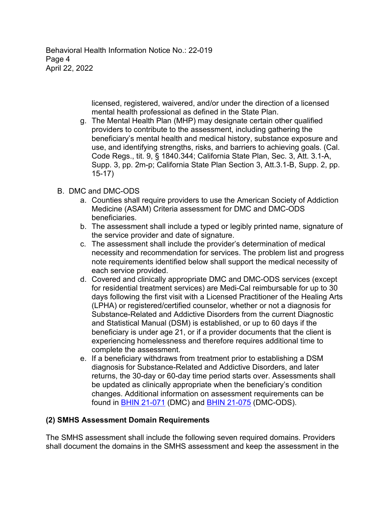Behavioral Health Information Notice No.: 22-019 Page 4 April 22, 2022

> licensed, registered, waivered, and/or under the direction of a licensed mental health professional as defined in the State Plan.

g. The Mental Health Plan (MHP) may designate certain other qualified providers to contribute to the assessment, including gathering the beneficiary's mental health and medical history, substance exposure and use, and identifying strengths, risks, and barriers to achieving goals. (Cal. Code Regs., tit. 9, § 1840.344; California State Plan, Sec. 3, Att. 3.1-A, Supp. 3, pp. 2m-p; California State Plan Section 3, Att.3.1-B, Supp. 2, pp. 15-17)

## B. DMC and DMC-ODS

- a. Counties shall require providers to use the American Society of Addiction Medicine (ASAM) Criteria assessment for DMC and DMC-ODS beneficiaries.
- b. The assessment shall include a typed or legibly printed name, signature of the service provider and date of signature.
- c. The assessment shall include the provider's determination of medical necessity and recommendation for services. The problem list and progress note requirements identified below shall support the medical necessity of each service provided.
- d. Covered and clinically appropriate DMC and DMC-ODS services (except for residential treatment services) are Medi-Cal reimbursable for up to 30 days following the first visit with a Licensed Practitioner of the Healing Arts (LPHA) or registered/certified counselor, whether or not a diagnosis for Substance-Related and Addictive Disorders from the current Diagnostic and Statistical Manual (DSM) is established, or up to 60 days if the beneficiary is under age 21, or if a provider documents that the client is experiencing homelessness and therefore requires additional time to complete the assessment.
- e. If a beneficiary withdraws from treatment prior to establishing a DSM diagnosis for Substance-Related and Addictive Disorders, and later returns, the 30-day or 60-day time period starts over. Assessments shall be updated as clinically appropriate when the beneficiary's condition changes. Additional information on assessment requirements can be found in [BHIN 21-071](https://www.dhcs.ca.gov/Documents/BHIN-21-071-Medical-Necessity-Determination-Level-of-Care-Determination-Requirements.pdf) (DMC) and [BHIN 21-075](https://www.dhcs.ca.gov/Documents/BHIN-21-075-DMC-ODS-Requirements-for-the-Period-2022-2026.pdf) (DMC-ODS).

# **(2) SMHS Assessment Domain Requirements**

The SMHS assessment shall include the following seven required domains. Providers shall document the domains in the SMHS assessment and keep the assessment in the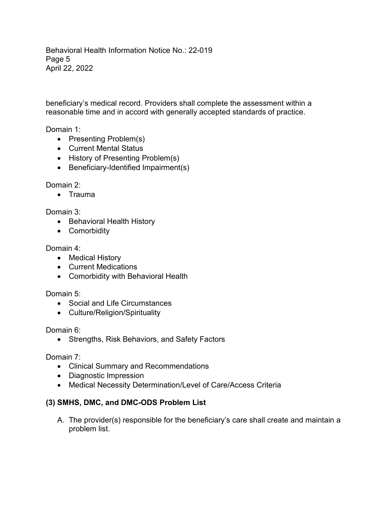Behavioral Health Information Notice No.: 22-019 Page 5 April 22, 2022

beneficiary's medical record. Providers shall complete the assessment within a reasonable time and in accord with generally accepted standards of practice.

Domain 1:

- Presenting Problem(s)
- Current Mental Status
- History of Presenting Problem(s)
- Beneficiary-Identified Impairment(s)

Domain 2:

• Trauma

Domain 3:

- Behavioral Health History
- Comorbidity

#### Domain 4:

- Medical History
- Current Medications
- Comorbidity with Behavioral Health

Domain 5:

- Social and Life Circumstances
- Culture/Religion/Spirituality

Domain 6:

• Strengths, Risk Behaviors, and Safety Factors

Domain 7:

- Clinical Summary and Recommendations
- Diagnostic Impression
- Medical Necessity Determination/Level of Care/Access Criteria

## **(3) SMHS, DMC, and DMC-ODS Problem List**

A. The provider(s) responsible for the beneficiary's care shall create and maintain a problem list.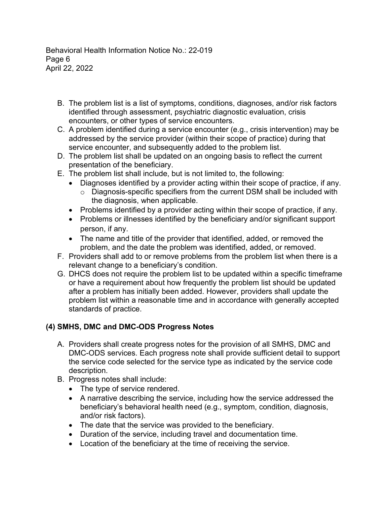Behavioral Health Information Notice No.: 22-019 Page 6 April 22, 2022

- B. The problem list is a list of symptoms, conditions, diagnoses, and/or risk factors identified through assessment, psychiatric diagnostic evaluation, crisis encounters, or other types of service encounters.
- C. A problem identified during a service encounter (e.g., crisis intervention) may be addressed by the service provider (within their scope of practice) during that service encounter, and subsequently added to the problem list.
- D. The problem list shall be updated on an ongoing basis to reflect the current presentation of the beneficiary.
- E. The problem list shall include, but is not limited to, the following:
	- Diagnoses identified by a provider acting within their scope of practice, if any.
		- o Diagnosis-specific specifiers from the current DSM shall be included with the diagnosis, when applicable.
	- Problems identified by a provider acting within their scope of practice, if any.
	- Problems or illnesses identified by the beneficiary and/or significant support person, if any.
	- The name and title of the provider that identified, added, or removed the problem, and the date the problem was identified, added, or removed.
- F. Providers shall add to or remove problems from the problem list when there is a relevant change to a beneficiary's condition.
- G. DHCS does not require the problem list to be updated within a specific timeframe or have a requirement about how frequently the problem list should be updated after a problem has initially been added. However, providers shall update the problem list within a reasonable time and in accordance with generally accepted standards of practice.

# **(4) SMHS, DMC and DMC-ODS Progress Notes**

- A. Providers shall create progress notes for the provision of all SMHS, DMC and DMC-ODS services. Each progress note shall provide sufficient detail to support the service code selected for the service type as indicated by the service code description.
- B. Progress notes shall include:
	- The type of service rendered.
	- A narrative describing the service, including how the service addressed the beneficiary's behavioral health need (e.g., symptom, condition, diagnosis, and/or risk factors).
	- The date that the service was provided to the beneficiary.
	- Duration of the service, including travel and documentation time.
	- Location of the beneficiary at the time of receiving the service.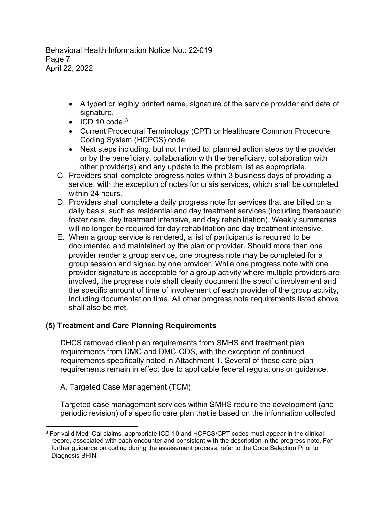Behavioral Health Information Notice No.: 22-019 Page 7 April 22, 2022

- A typed or legibly printed name, signature of the service provider and date of signature.
- $\bullet$  ICD 10 code.<sup>3</sup>
- Current Procedural Terminology (CPT) or Healthcare Common Procedure Coding System (HCPCS) code.
- Next steps including, but not limited to, planned action steps by the provider or by the beneficiary, collaboration with the beneficiary, collaboration with other provider(s) and any update to the problem list as appropriate.
- C. Providers shall complete progress notes within 3 business days of providing a service, with the exception of notes for crisis services, which shall be completed within 24 hours.
- D. Providers shall complete a daily progress note for services that are billed on a daily basis, such as residential and day treatment services (including therapeutic foster care, day treatment intensive, and day rehabilitation). Weekly summaries will no longer be required for day rehabilitation and day treatment intensive.
- E. When a group service is rendered, a list of participants is required to be documented and maintained by the plan or provider. Should more than one provider render a group service, one progress note may be completed for a group session and signed by one provider. While one progress note with one provider signature is acceptable for a group activity where multiple providers are involved, the progress note shall clearly document the specific involvement and the specific amount of time of involvement of each provider of the group activity, including documentation time. All other progress note requirements listed above shall also be met.

## **(5) Treatment and Care Planning Requirements**

DHCS removed client plan requirements from SMHS and treatment plan requirements from DMC and DMC-ODS, with the exception of continued requirements specifically noted in Attachment 1. Several of these care plan requirements remain in effect due to applicable federal regulations or guidance.

A. Targeted Case Management (TCM)

Targeted case management services within SMHS require the development (and periodic revision) of a specific care plan that is based on the information collected

<sup>3</sup> For valid Medi-Cal claims, appropriate ICD-10 and HCPCS/CPT codes must appear in the clinical record, associated with each encounter and consistent with the description in the progress note. For further guidance on coding during the assessment process, refer to the Code Selection Prior to Diagnosis BHIN.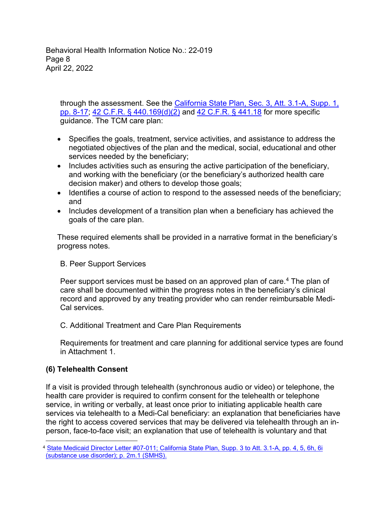Behavioral Health Information Notice No.: 22-019 Page 8 April 22, 2022

through the assessment. See the California [State Plan, Sec. 3, Att. 3.1-A,](https://www.dhcs.ca.gov/formsandpubs/laws/Pages/Section3.aspx) Supp. 1, [pp. 8-17;](https://www.dhcs.ca.gov/formsandpubs/laws/Pages/Section3.aspx) [42 C.F.R. § 440.169\(d\)\(2\)](https://www.ecfr.gov/current/title-42/chapter-IV/subchapter-C/part-440/subpart-A/section-440.169) and [42 C.F.R. § 441.18](https://www.ecfr.gov/current/title-42/chapter-IV/subchapter-C/part-441/subpart-A/section-441.18) for more specific guidance. The TCM care plan:

- Specifies the goals, treatment, service activities, and assistance to address the negotiated objectives of the plan and the medical, social, educational and other services needed by the beneficiary;
- Includes activities such as ensuring the active participation of the beneficiary, and working with the beneficiary (or the beneficiary's authorized health care decision maker) and others to develop those goals;
- Identifies a course of action to respond to the assessed needs of the beneficiary; and
- Includes development of a transition plan when a beneficiary has achieved the goals of the care plan.

These required elements shall be provided in a narrative format in the beneficiary's progress notes.

## B. Peer Support Services

Peer support services must be based on an approved plan of care. <sup>4</sup> The plan of care shall be documented within the progress notes in the beneficiary's clinical record and approved by any treating provider who can render reimbursable Medi-Cal services.

#### C. Additional Treatment and Care Plan Requirements

Requirements for treatment and care planning for additional service types are found in Attachment 1.

## **(6) Telehealth Consent**

If a visit is provided through telehealth (synchronous audio or video) or telephone, the health care provider is required to confirm consent for the telehealth or telephone service, in writing or verbally, at least once prior to initiating applicable health care services via telehealth to a Medi-Cal beneficiary: an explanation that beneficiaries have the right to access covered services that may be delivered via telehealth through an inperson, face-to-face visit; an explanation that use of telehealth is voluntary and that

<sup>4</sup> [State Medicaid Director Letter #07-011; California State Plan, Supp. 3 to Att. 3.1-A, pp. 4, 5,](https://www.dhcs.ca.gov/formsandpubs/laws/Documents/Att-3-1-A-Supp-3.pdf) 6h, 6i (substance use disorder); p. 2m.1 (SMHS).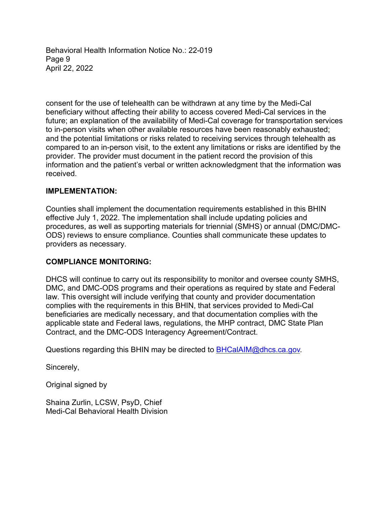Behavioral Health Information Notice No.: 22-019 Page 9 April 22, 2022

consent for the use of telehealth can be withdrawn at any time by the Medi-Cal beneficiary without affecting their ability to access covered Medi-Cal services in the future; an explanation of the availability of Medi-Cal coverage for transportation services to in-person visits when other available resources have been reasonably exhausted; and the potential limitations or risks related to receiving services through telehealth as compared to an in-person visit, to the extent any limitations or risks are identified by the provider. The provider must document in the patient record the provision of this information and the patient's verbal or written acknowledgment that the information was received.

#### **IMPLEMENTATION:**

Counties shall implement the documentation requirements established in this BHIN effective July 1, 2022. The implementation shall include updating policies and procedures, as well as supporting materials for triennial (SMHS) or annual (DMC/DMC-ODS) reviews to ensure compliance. Counties shall communicate these updates to providers as necessary.

#### **COMPLIANCE MONITORING:**

DHCS will continue to carry out its responsibility to monitor and oversee county SMHS, DMC, and DMC-ODS programs and their operations as required by state and Federal law. This oversight will include verifying that county and provider documentation complies with the requirements in this BHIN, that services provided to Medi-Cal beneficiaries are medically necessary, and that documentation complies with the applicable state and Federal laws, regulations, the MHP contract, DMC State Plan Contract, and the DMC-ODS Interagency Agreement/Contract.

Questions regarding this BHIN may be directed to [BHCalAIM@dhcs.ca.gov](mailto:BHCalAIM@dhcs.ca.gov).

Sincerely,

Original signed by

Shaina Zurlin, LCSW, PsyD, Chief Medi-Cal Behavioral Health Division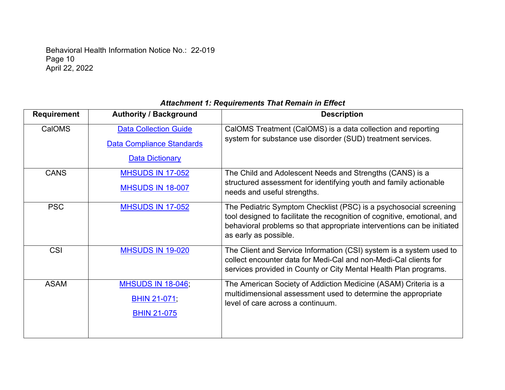Behavioral Health Information Notice No.: 22-019 Page 10 April 22, 2022

## **Requirement Authority / Background Description** CalOMS | [Data Collection Guide](https://www.dhcs.ca.gov/provgovpart/Documents/CalOMS_Tx_Data_Collection_Guide_JAN%202014.pdf) [Data Compliance Standards](https://www.dhcs.ca.gov/provgovpart/Documents/CalOMS_Data_Cmpliance%20Standards%202014.pdf) [Data Dictionary](https://cchealth.org/aod/pdf/CalOMS-tx-Dictionary.pdf) CalOMS Treatment (CalOMS) is a data collection and reporting system for substance use disorder (SUD) treatment services. CANS | [MHSUDS IN 17-052](https://www.dhcs.ca.gov/services/MH/Documents/FMORB/Info_Notice_17-052_POS_Functional_Assessment_Tool.pdf) [MHSUDS IN 18-007](https://www.dhcs.ca.gov/services/MH/Documents/Information%20Notices/IN-18-007%20CANS/IN_18-007_CFT_CANS_Joint_Letter.pdf) The Child and Adolescent Needs and Strengths (CANS) is a structured assessment for identifying youth and family actionable needs and useful strengths. PSC [MHSUDS IN 17-052](https://www.dhcs.ca.gov/services/MH/Documents/FMORB/Info_Notice_17-052_POS_Functional_Assessment_Tool.pdf) The Pediatric Symptom Checklist (PSC) is a psychosocial screening tool designed to facilitate the recognition of cognitive, emotional, and behavioral problems so that appropriate interventions can be initiated as early as possible. CSI [MHSUDS IN 19-020](https://www.dhcs.ca.gov/services/MH/Documents/MHSUDS_Info_Notice_19-020-CSI_Assessment_Record.pdf) The Client and Service Information (CSI) system is a system used to collect encounter data for Medi-Cal and non-Medi-Cal clients for services provided in County or City Mental Health Plan programs. ASAM [MHSUDS IN 18-046;](https://www.dhcs.ca.gov/individuals/Documents/MHSUDS_Information_Notice_18-046.pdf) [BHIN 21-071;](https://www.dhcs.ca.gov/Documents/BHIN-21-071-Medical-Necessity-Determination-Level-of-Care-Determination-Requirements.pdf) [BHIN 21-075](https://www.dhcs.ca.gov/Documents/BHIN-21-075-DMC-ODS-Requirements-for-the-Period-2022-2026.pdf) The American Society of Addiction Medicine (ASAM) Criteria is a multidimensional assessment used to determine the appropriate level of care across a continuum.

#### *Attachment 1: Requirements That Remain in Effect*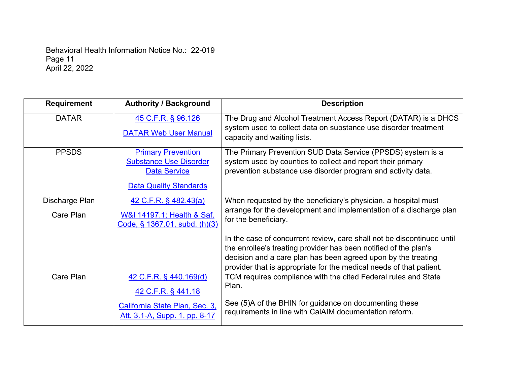Behavioral Health Information Notice No.: 22-019 Page 11 April 22, 2022

| <b>Requirement</b> | <b>Authority / Background</b>                        | <b>Description</b>                                                                                                                    |
|--------------------|------------------------------------------------------|---------------------------------------------------------------------------------------------------------------------------------------|
| <b>DATAR</b>       | 45 C.F.R. § 96.126                                   | The Drug and Alcohol Treatment Access Report (DATAR) is a DHCS                                                                        |
|                    | <b>DATAR Web User Manual</b>                         | system used to collect data on substance use disorder treatment<br>capacity and waiting lists.                                        |
| <b>PPSDS</b>       | <b>Primary Prevention</b>                            | The Primary Prevention SUD Data Service (PPSDS) system is a                                                                           |
|                    | <b>Substance Use Disorder</b><br><b>Data Service</b> | system used by counties to collect and report their primary<br>prevention substance use disorder program and activity data.           |
|                    |                                                      |                                                                                                                                       |
|                    | <b>Data Quality Standards</b>                        |                                                                                                                                       |
| Discharge Plan     | $42$ C.F.R. § 482.43(a)                              | When requested by the beneficiary's physician, a hospital must                                                                        |
| Care Plan          | W&I 14197.1; Health & Saf.                           | arrange for the development and implementation of a discharge plan                                                                    |
|                    | Code, § 1367.01, subd. (h)(3)                        | for the beneficiary.                                                                                                                  |
|                    |                                                      | In the case of concurrent review, care shall not be discontinued until                                                                |
|                    |                                                      | the enrollee's treating provider has been notified of the plan's                                                                      |
|                    |                                                      | decision and a care plan has been agreed upon by the treating                                                                         |
| Care Plan          | 42 C.F.R. § 440.169(d)                               | provider that is appropriate for the medical needs of that patient.<br>TCM requires compliance with the cited Federal rules and State |
|                    |                                                      | Plan.                                                                                                                                 |
|                    | 42 C.F.R. § 441.18                                   |                                                                                                                                       |
|                    | California State Plan, Sec. 3,                       | See (5)A of the BHIN for guidance on documenting these<br>requirements in line with CalAIM documentation reform.                      |
|                    | Att. 3.1-A, Supp. 1, pp. 8-17                        |                                                                                                                                       |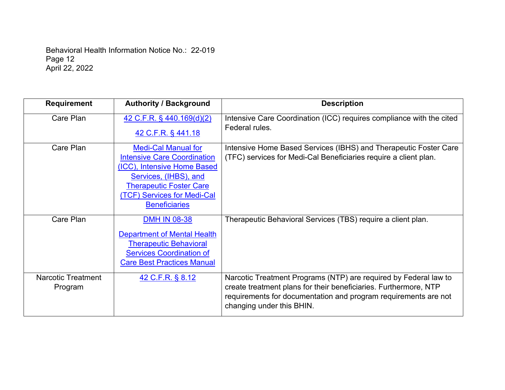Behavioral Health Information Notice No.: 22-019 Page 12 April 22, 2022

| <b>Requirement</b>        | <b>Authority / Background</b>      | <b>Description</b>                                                   |
|---------------------------|------------------------------------|----------------------------------------------------------------------|
| Care Plan                 | 42 C.F.R. § 440.169(d)(2)          | Intensive Care Coordination (ICC) requires compliance with the cited |
|                           | 42 C.F.R. § 441.18                 | Federal rules.                                                       |
| Care Plan                 | <b>Medi-Cal Manual for</b>         | Intensive Home Based Services (IBHS) and Therapeutic Foster Care     |
|                           | <b>Intensive Care Coordination</b> | (TFC) services for Medi-Cal Beneficiaries require a client plan.     |
|                           | (ICC), Intensive Home Based        |                                                                      |
|                           | Services, (IHBS), and              |                                                                      |
|                           | <b>Therapeutic Foster Care</b>     |                                                                      |
|                           | (TCF) Services for Medi-Cal        |                                                                      |
|                           | <b>Beneficiaries</b>               |                                                                      |
| Care Plan                 | <b>DMH IN 08-38</b>                | Therapeutic Behavioral Services (TBS) require a client plan.         |
|                           | <b>Department of Mental Health</b> |                                                                      |
|                           | <b>Therapeutic Behavioral</b>      |                                                                      |
|                           | <b>Services Coordination of</b>    |                                                                      |
|                           | <b>Care Best Practices Manual</b>  |                                                                      |
| <b>Narcotic Treatment</b> | 42 C.F.R. § 8.12                   | Narcotic Treatment Programs (NTP) are required by Federal law to     |
| Program                   |                                    | create treatment plans for their beneficiaries. Furthermore, NTP     |
|                           |                                    | requirements for documentation and program requirements are not      |
|                           |                                    | changing under this BHIN.                                            |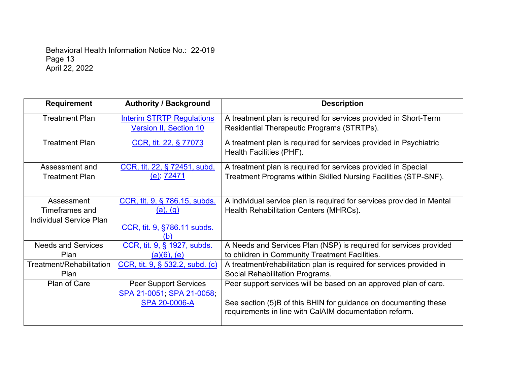Behavioral Health Information Notice No.: 22-019 Page 13 April 22, 2022

| <b>Requirement</b>                                             | <b>Authority / Background</b>                                                          | <b>Description</b>                                                                                                                                                                            |
|----------------------------------------------------------------|----------------------------------------------------------------------------------------|-----------------------------------------------------------------------------------------------------------------------------------------------------------------------------------------------|
| <b>Treatment Plan</b>                                          | <b>Interim STRTP Regulations</b><br><b>Version II, Section 10</b>                      | A treatment plan is required for services provided in Short-Term<br>Residential Therapeutic Programs (STRTPs).                                                                                |
| <b>Treatment Plan</b>                                          | CCR, tit. 22, § 77073                                                                  | A treatment plan is required for services provided in Psychiatric<br>Health Facilities (PHF).                                                                                                 |
| Assessment and<br><b>Treatment Plan</b>                        | CCR, tit. 22, § 72451, subd.<br><u>(e); 72471</u>                                      | A treatment plan is required for services provided in Special<br>Treatment Programs within Skilled Nursing Facilities (STP-SNF).                                                              |
| Assessment<br>Timeframes and<br><b>Individual Service Plan</b> | CCR, tit. 9, § 786.15, subds.<br><u>(a), (g)</u><br>CCR, tit. 9, §786.11 subds.<br>(b) | A individual service plan is required for services provided in Mental<br>Health Rehabilitation Centers (MHRCs).                                                                               |
| <b>Needs and Services</b><br>Plan                              | CCR, tit. 9, § 1927, subds.<br>$(a)(6)$ , $(e)$                                        | A Needs and Services Plan (NSP) is required for services provided<br>to children in Community Treatment Facilities.                                                                           |
| Treatment/Rehabilitation<br>Plan                               | CCR, tit. 9, § 532.2, subd. (c)                                                        | A treatment/rehabilitation plan is required for services provided in<br>Social Rehabilitation Programs.                                                                                       |
| Plan of Care                                                   | <b>Peer Support Services</b><br>SPA 21-0051; SPA 21-0058;<br><b>SPA 20-0006-A</b>      | Peer support services will be based on an approved plan of care.<br>See section (5)B of this BHIN for guidance on documenting these<br>requirements in line with CalAIM documentation reform. |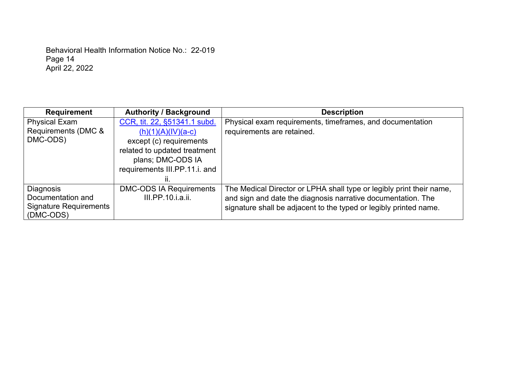Behavioral Health Information Notice No.: 22-019 Page 14 April 22, 2022

| <b>Requirement</b>                                                           | <b>Authority / Background</b>                                                                                                                                               | <b>Description</b>                                                                                                                                                                                        |
|------------------------------------------------------------------------------|-----------------------------------------------------------------------------------------------------------------------------------------------------------------------------|-----------------------------------------------------------------------------------------------------------------------------------------------------------------------------------------------------------|
| <b>Physical Exam</b><br>Requirements (DMC &<br>DMC-ODS)                      | CCR, tit. 22, §51341.1 subd.<br>$(h)(1)(A)(IV)(a-c)$<br>except (c) requirements<br>related to updated treatment<br>plans; DMC-ODS IA<br>requirements III.PP.11.i. and<br>Ш. | Physical exam requirements, timeframes, and documentation<br>requirements are retained.                                                                                                                   |
| Diagnosis<br>Documentation and<br><b>Signature Requirements</b><br>(DMC-ODS) | <b>DMC-ODS IA Requirements</b><br>III.PP.10.i.a.ii.                                                                                                                         | The Medical Director or LPHA shall type or legibly print their name,<br>and sign and date the diagnosis narrative documentation. The<br>signature shall be adjacent to the typed or legibly printed name. |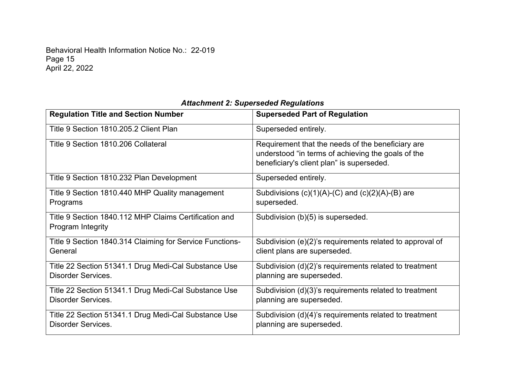Behavioral Health Information Notice No.: 22-019 Page 15 April 22, 2022

| <b>Regulation Title and Section Number</b>                                 | <b>Superseded Part of Regulation</b>                                                                                                                 |
|----------------------------------------------------------------------------|------------------------------------------------------------------------------------------------------------------------------------------------------|
| Title 9 Section 1810.205.2 Client Plan                                     | Superseded entirely.                                                                                                                                 |
| Title 9 Section 1810.206 Collateral                                        | Requirement that the needs of the beneficiary are<br>understood "in terms of achieving the goals of the<br>beneficiary's client plan" is superseded. |
| Title 9 Section 1810.232 Plan Development                                  | Superseded entirely.                                                                                                                                 |
| Title 9 Section 1810.440 MHP Quality management                            | Subdivisions $(c)(1)(A)-(C)$ and $(c)(2)(A)-(B)$ are                                                                                                 |
| Programs                                                                   | superseded.                                                                                                                                          |
| Title 9 Section 1840.112 MHP Claims Certification and<br>Program Integrity | Subdivision (b)(5) is superseded.                                                                                                                    |
| Title 9 Section 1840.314 Claiming for Service Functions-                   | Subdivision (e)(2)'s requirements related to approval of                                                                                             |
| General                                                                    | client plans are superseded.                                                                                                                         |
| Title 22 Section 51341.1 Drug Medi-Cal Substance Use                       | Subdivision (d)(2)'s requirements related to treatment                                                                                               |
| <b>Disorder Services.</b>                                                  | planning are superseded.                                                                                                                             |
| Title 22 Section 51341.1 Drug Medi-Cal Substance Use                       | Subdivision (d)(3)'s requirements related to treatment                                                                                               |
| <b>Disorder Services.</b>                                                  | planning are superseded.                                                                                                                             |
| Title 22 Section 51341.1 Drug Medi-Cal Substance Use                       | Subdivision (d)(4)'s requirements related to treatment                                                                                               |
| <b>Disorder Services.</b>                                                  | planning are superseded.                                                                                                                             |

# *Attachment 2: Superseded Regulations*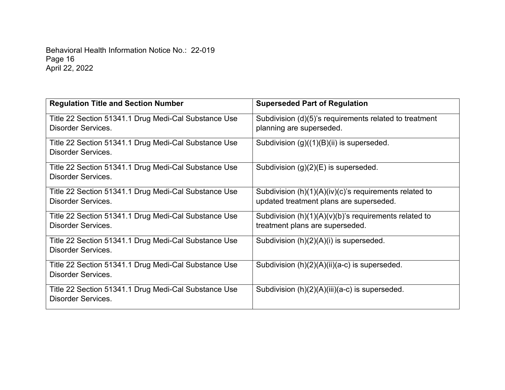Behavioral Health Information Notice No.: 22-019 Page 16 April 22, 2022

| <b>Regulation Title and Section Number</b>           | <b>Superseded Part of Regulation</b>                      |
|------------------------------------------------------|-----------------------------------------------------------|
| Title 22 Section 51341.1 Drug Medi-Cal Substance Use | Subdivision (d)(5)'s requirements related to treatment    |
| <b>Disorder Services.</b>                            | planning are superseded.                                  |
| Title 22 Section 51341.1 Drug Medi-Cal Substance Use | Subdivision $(g)((1)(B)(ii)$ is superseded.               |
| <b>Disorder Services.</b>                            |                                                           |
| Title 22 Section 51341.1 Drug Medi-Cal Substance Use | Subdivision $(g)(2)(E)$ is superseded.                    |
| <b>Disorder Services.</b>                            |                                                           |
| Title 22 Section 51341.1 Drug Medi-Cal Substance Use | Subdivision $(h)(1)(A)(iv)(c)$ 's requirements related to |
| <b>Disorder Services.</b>                            | updated treatment plans are superseded.                   |
| Title 22 Section 51341.1 Drug Medi-Cal Substance Use | Subdivision $(h)(1)(A)(v)(b)$ 's requirements related to  |
| <b>Disorder Services.</b>                            | treatment plans are superseded.                           |
| Title 22 Section 51341.1 Drug Medi-Cal Substance Use | Subdivision $(h)(2)(A)(i)$ is superseded.                 |
| <b>Disorder Services.</b>                            |                                                           |
| Title 22 Section 51341.1 Drug Medi-Cal Substance Use | Subdivision (h)(2)(A)(ii)(a-c) is superseded.             |
| <b>Disorder Services.</b>                            |                                                           |
| Title 22 Section 51341.1 Drug Medi-Cal Substance Use | Subdivision (h)(2)(A)(iii)(a-c) is superseded.            |
| <b>Disorder Services.</b>                            |                                                           |